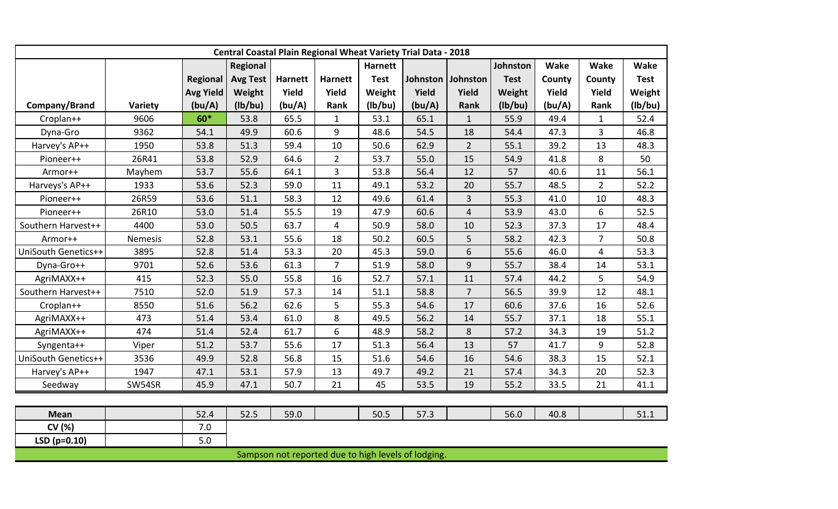| <b>Central Coastal Plain Regional Wheat Variety Trial Data - 2018</b> |         |                  |                 |                |                |                |                   |                |             |             |                |             |
|-----------------------------------------------------------------------|---------|------------------|-----------------|----------------|----------------|----------------|-------------------|----------------|-------------|-------------|----------------|-------------|
|                                                                       |         |                  | Regional        |                |                | <b>Harnett</b> |                   |                | Johnston    | <b>Wake</b> | <b>Wake</b>    | <b>Wake</b> |
|                                                                       |         | <b>Regional</b>  | <b>Avg Test</b> | <b>Harnett</b> | <b>Harnett</b> | <b>Test</b>    | Johnston Johnston |                | <b>Test</b> | County      | County         | <b>Test</b> |
|                                                                       |         | <b>Avg Yield</b> | Weight          | Yield          | Yield          | Weight         | Yield             | Yield          | Weight      | Yield       | Yield          | Weight      |
| Company/Brand                                                         | Variety | (bu/A)           | (lb/bu)         | (bu/A)         | Rank           | (lb/bu)        | (bu/A)            | Rank           | (lb/bu)     | (bu/A)      | Rank           | (lb/bu)     |
| Croplan++                                                             | 9606    | 60*              | 53.8            | 65.5           | $\mathbf{1}$   | 53.1           | 65.1              | $\mathbf{1}$   | 55.9        | 49.4        | $\mathbf{1}$   | 52.4        |
| Dyna-Gro                                                              | 9362    | 54.1             | 49.9            | 60.6           | 9              | 48.6           | 54.5              | 18             | 54.4        | 47.3        | $\overline{3}$ | 46.8        |
| Harvey's AP++                                                         | 1950    | 53.8             | 51.3            | 59.4           | 10             | 50.6           | 62.9              | $\overline{2}$ | 55.1        | 39.2        | 13             | 48.3        |
| Pioneer++                                                             | 26R41   | 53.8             | 52.9            | 64.6           | $2^{\circ}$    | 53.7           | 55.0              | 15             | 54.9        | 41.8        | 8              | 50          |
| Armor++                                                               | Mayhem  | 53.7             | 55.6            | 64.1           | $\mathbf{3}$   | 53.8           | 56.4              | 12             | 57          | 40.6        | 11             | 56.1        |
| Harveys's AP++                                                        | 1933    | 53.6             | 52.3            | 59.0           | 11             | 49.1           | 53.2              | 20             | 55.7        | 48.5        | $\overline{2}$ | 52.2        |
| Pioneer++                                                             | 26R59   | 53.6             | 51.1            | 58.3           | 12             | 49.6           | 61.4              | 3              | 55.3        | 41.0        | 10             | 48.3        |
| Pioneer++                                                             | 26R10   | 53.0             | 51.4            | 55.5           | 19             | 47.9           | 60.6              | 4              | 53.9        | 43.0        | 6              | 52.5        |
| Southern Harvest++                                                    | 4400    | 53.0             | 50.5            | 63.7           | $\overline{4}$ | 50.9           | 58.0              | 10             | 52.3        | 37.3        | 17             | 48.4        |
| Armor++                                                               | Nemesis | 52.8             | 53.1            | 55.6           | 18             | 50.2           | 60.5              | 5              | 58.2        | 42.3        | $\overline{7}$ | 50.8        |
| UniSouth Genetics++                                                   | 3895    | 52.8             | 51.4            | 53.3           | 20             | 45.3           | 59.0              | 6              | 55.6        | 46.0        | $\overline{4}$ | 53.3        |
| Dyna-Gro++                                                            | 9701    | 52.6             | 53.6            | 61.3           | $\overline{7}$ | 51.9           | 58.0              | 9              | 55.7        | 38.4        | 14             | 53.1        |
| AgriMAXX++                                                            | 415     | 52.3             | 55.0            | 55.8           | 16             | 52.7           | 57.1              | 11             | 57.4        | 44.2        | 5              | 54.9        |
| Southern Harvest++                                                    | 7510    | 52.0             | 51.9            | 57.3           | 14             | 51.1           | 58.8              | $\overline{7}$ | 56.5        | 39.9        | 12             | 48.1        |
| Croplan++                                                             | 8550    | 51.6             | 56.2            | 62.6           | 5              | 55.3           | 54.6              | 17             | 60.6        | 37.6        | 16             | 52.6        |
| AgriMAXX++                                                            | 473     | 51.4             | 53.4            | 61.0           | 8              | 49.5           | 56.2              | 14             | 55.7        | 37.1        | 18             | 55.1        |
| AgriMAXX++                                                            | 474     | 51.4             | 52.4            | 61.7           | 6              | 48.9           | 58.2              | 8              | 57.2        | 34.3        | 19             | 51.2        |
| Syngenta++                                                            | Viper   | 51.2             | 53.7            | 55.6           | 17             | 51.3           | 56.4              | 13             | 57          | 41.7        | 9              | 52.8        |
| UniSouth Genetics++                                                   | 3536    | 49.9             | 52.8            | 56.8           | 15             | 51.6           | 54.6              | 16             | 54.6        | 38.3        | 15             | 52.1        |
| Harvey's AP++                                                         | 1947    | 47.1             | 53.1            | 57.9           | 13             | 49.7           | 49.2              | 21             | 57.4        | 34.3        | 20             | 52.3        |
| Seedway                                                               | SW54SR  | 45.9             | 47.1            | 50.7           | 21             | 45             | 53.5              | 19             | 55.2        | 33.5        | 21             | 41.1        |
|                                                                       |         |                  |                 |                |                |                |                   |                |             |             |                |             |
| <b>Mean</b>                                                           |         | 52.4             | 52.5            | 59.0           |                | 50.5           | 57.3              |                | 56.0        | 40.8        |                | 51.1        |
| CV (%)                                                                |         | 7.0              |                 |                |                |                |                   |                |             |             |                |             |
| $LSD(p=0.10)$                                                         |         | 5.0              |                 |                |                |                |                   |                |             |             |                |             |
| Sampson not reported due to high levels of lodging.                   |         |                  |                 |                |                |                |                   |                |             |             |                |             |